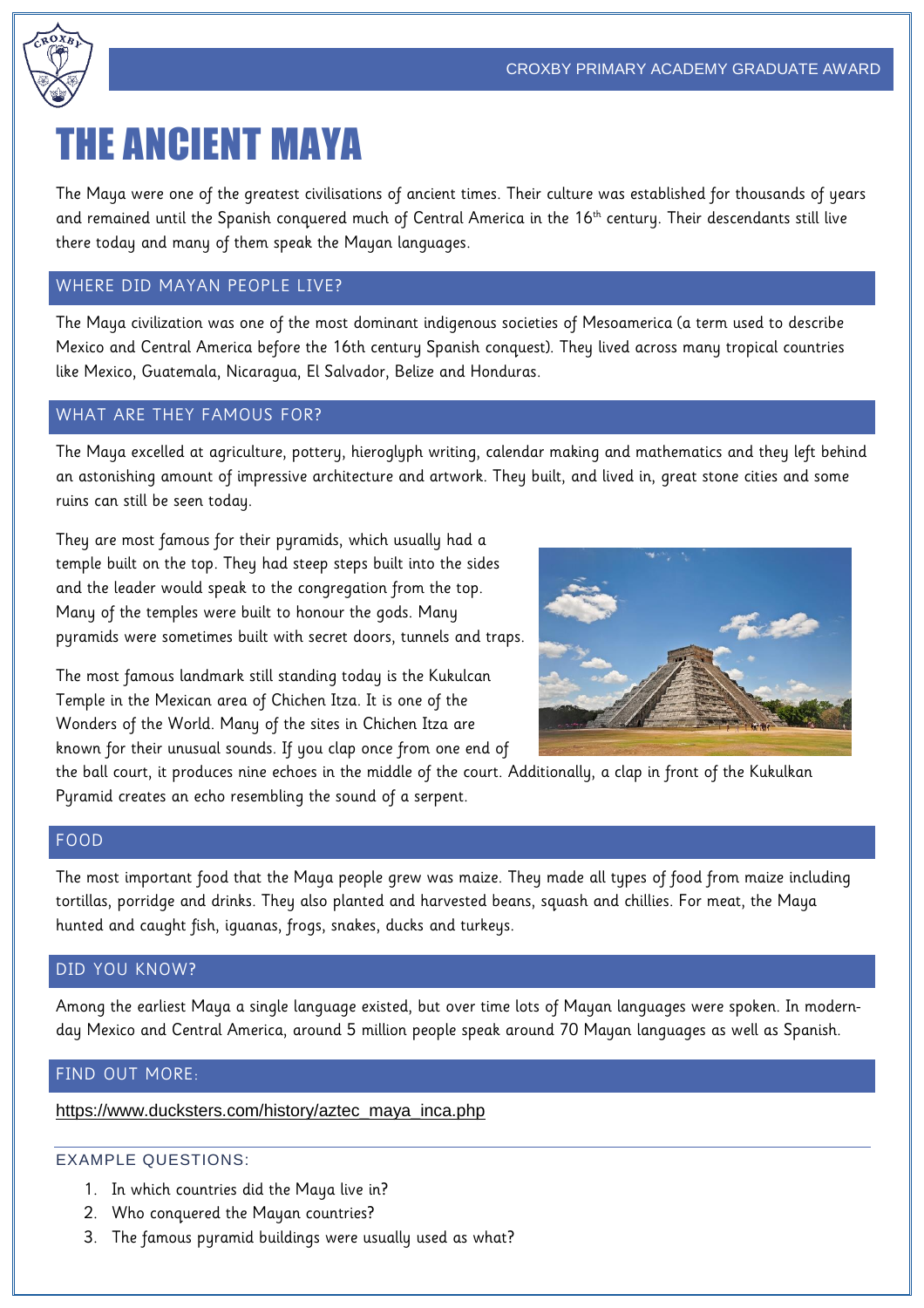

# THE ANCIENT MAYA

The Maya were one of the greatest civilisations of ancient times. Their culture was established for thousands of years and remained until the Spanish conquered much of Central America in the 16<sup>th</sup> century. Their descendants still live there today and many of them speak the Mayan languages.

## WHERE DID MAYAN PEOPLE LIVE?

The Maya civilization was one of the most dominant indigenous societies of Mesoamerica (a term used to describe Mexico and Central America before the 16th century Spanish conquest). They lived across many tropical countries like Mexico, Guatemala, Nicaragua, El Salvador, Belize and Honduras.

## WHAT ARE THEY FAMOUS FOR?

The Maya excelled at agriculture, pottery, hieroglyph writing, calendar making and mathematics and they left behind an astonishing amount of impressive architecture and artwork. They built, and lived in, great stone cities and some ruins can still be seen today.

They are most famous for their pyramids, which usually had a temple built on the top. They had steep steps built into the sides and the leader would speak to the congregation from the top. Many of the temples were built to honour the gods. Many pyramids were sometimes built with secret doors, tunnels and traps.

The most famous landmark still standing today is the Kukulcan Temple in the Mexican area of Chichen Itza. It is one of the Wonders of the World. Many of the sites in Chichen Itza are known for their unusual sounds. If you clap once from one end of



the ball court, it produces nine echoes in the middle of the court. Additionally, a clap in front of the Kukulkan Pyramid creates an echo resembling the sound of a serpent.

### FOOD

The most important food that the Maya people grew was maize. They made all types of food from maize including tortillas, porridge and drinks. They also planted and harvested beans, squash and chillies. For meat, the Maya hunted and caught fish, iguanas, frogs, snakes, ducks and turkeys.

## DID YOU KNOW?

Among the earliest Maya a single language existed, but over time lots of Mayan languages were spoken. In modernday Mexico and Central America, around 5 million people speak around 70 Mayan languages as well as Spanish.

### FIND OUT MORE:

[https://www.ducksters.com/history/aztec\\_maya\\_inca.php](https://www.ducksters.com/history/aztec_maya_inca.php)

### EXAMPLE QUESTIONS:

- 1. In which countries did the Maya live in?
- 2. Who conquered the Mayan countries?
- 3. The famous pyramid buildings were usually used as what?